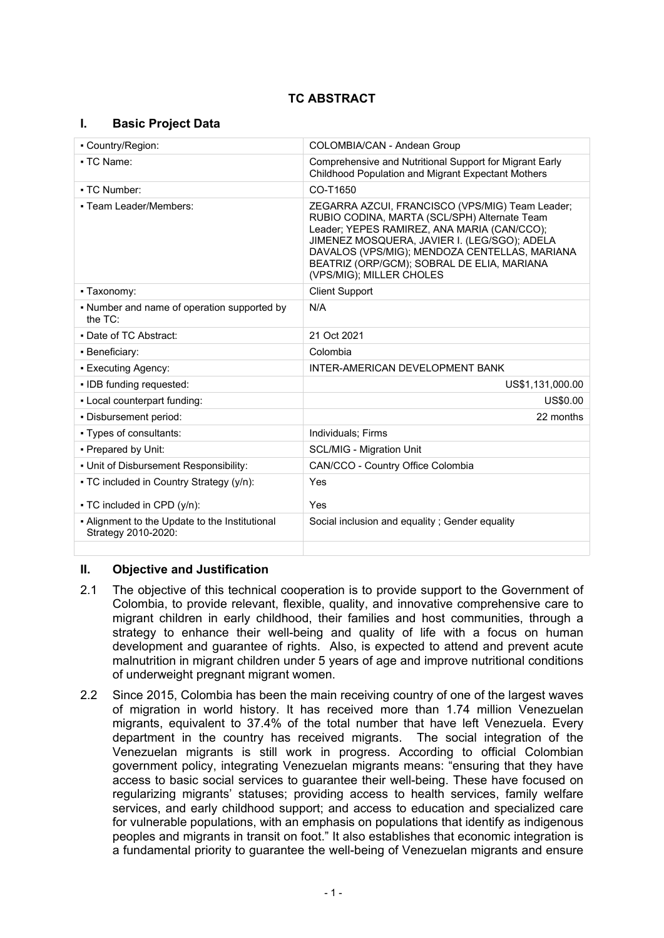# **TC ABSTRACT**

## **I. Basic Project Data**

| - Country/Region:                                                     | COLOMBIA/CAN - Andean Group                                                                                                                                                                                                                                                                                               |  |  |
|-----------------------------------------------------------------------|---------------------------------------------------------------------------------------------------------------------------------------------------------------------------------------------------------------------------------------------------------------------------------------------------------------------------|--|--|
| • TC Name:                                                            | Comprehensive and Nutritional Support for Migrant Early<br>Childhood Population and Migrant Expectant Mothers                                                                                                                                                                                                             |  |  |
| • TC Number:                                                          | CO-T1650                                                                                                                                                                                                                                                                                                                  |  |  |
| - Team Leader/Members:                                                | ZEGARRA AZCUI, FRANCISCO (VPS/MIG) Team Leader;<br>RUBIO CODINA, MARTA (SCL/SPH) Alternate Team<br>Leader; YEPES RAMIREZ, ANA MARIA (CAN/CCO);<br>JIMENEZ MOSQUERA, JAVIER I. (LEG/SGO); ADELA<br>DAVALOS (VPS/MIG); MENDOZA CENTELLAS, MARIANA<br>BEATRIZ (ORP/GCM); SOBRAL DE ELIA, MARIANA<br>(VPS/MIG); MILLER CHOLES |  |  |
| • Taxonomy:                                                           | <b>Client Support</b>                                                                                                                                                                                                                                                                                                     |  |  |
| • Number and name of operation supported by<br>the $TC$ :             | N/A                                                                                                                                                                                                                                                                                                                       |  |  |
| • Date of TC Abstract:                                                | 21 Oct 2021                                                                                                                                                                                                                                                                                                               |  |  |
| · Beneficiary:                                                        | Colombia                                                                                                                                                                                                                                                                                                                  |  |  |
| • Executing Agency:                                                   | INTER-AMERICAN DEVELOPMENT BANK                                                                                                                                                                                                                                                                                           |  |  |
| • IDB funding requested:                                              | US\$1,131,000.00                                                                                                                                                                                                                                                                                                          |  |  |
| - Local counterpart funding:                                          | US\$0.00                                                                                                                                                                                                                                                                                                                  |  |  |
| . Disbursement period:                                                | 22 months                                                                                                                                                                                                                                                                                                                 |  |  |
| • Types of consultants:                                               | <b>Individuals: Firms</b>                                                                                                                                                                                                                                                                                                 |  |  |
| - Prepared by Unit:                                                   | <b>SCL/MIG - Migration Unit</b>                                                                                                                                                                                                                                                                                           |  |  |
| . Unit of Disbursement Responsibility:                                | CAN/CCO - Country Office Colombia                                                                                                                                                                                                                                                                                         |  |  |
| • TC included in Country Strategy (y/n):                              | Yes                                                                                                                                                                                                                                                                                                                       |  |  |
| • TC included in CPD (y/n):                                           | Yes                                                                                                                                                                                                                                                                                                                       |  |  |
| - Alignment to the Update to the Institutional<br>Strategy 2010-2020: | Social inclusion and equality; Gender equality                                                                                                                                                                                                                                                                            |  |  |
|                                                                       |                                                                                                                                                                                                                                                                                                                           |  |  |

## **II. Objective and Justification**

- 2.1 The objective of this technical cooperation is to provide support to the Government of Colombia, to provide relevant, flexible, quality, and innovative comprehensive care to migrant children in early childhood, their families and host communities, through a strategy to enhance their well-being and quality of life with a focus on human development and guarantee of rights. Also, is expected to attend and prevent acute malnutrition in migrant children under 5 years of age and improve nutritional conditions of underweight pregnant migrant women.
- 2.2 Since 2015, Colombia has been the main receiving country of one of the largest waves of migration in world history. It has received more than 1.74 million Venezuelan migrants, equivalent to 37.4% of the total number that have left Venezuela. Every department in the country has received migrants. The social integration of the Venezuelan migrants is still work in progress. According to official Colombian government policy, integrating Venezuelan migrants means: "ensuring that they have access to basic social services to guarantee their well-being. These have focused on regularizing migrants' statuses; providing access to health services, family welfare services, and early childhood support; and access to education and specialized care for vulnerable populations, with an emphasis on populations that identify as indigenous peoples and migrants in transit on foot." It also establishes that economic integration is a fundamental priority to guarantee the well-being of Venezuelan migrants and ensure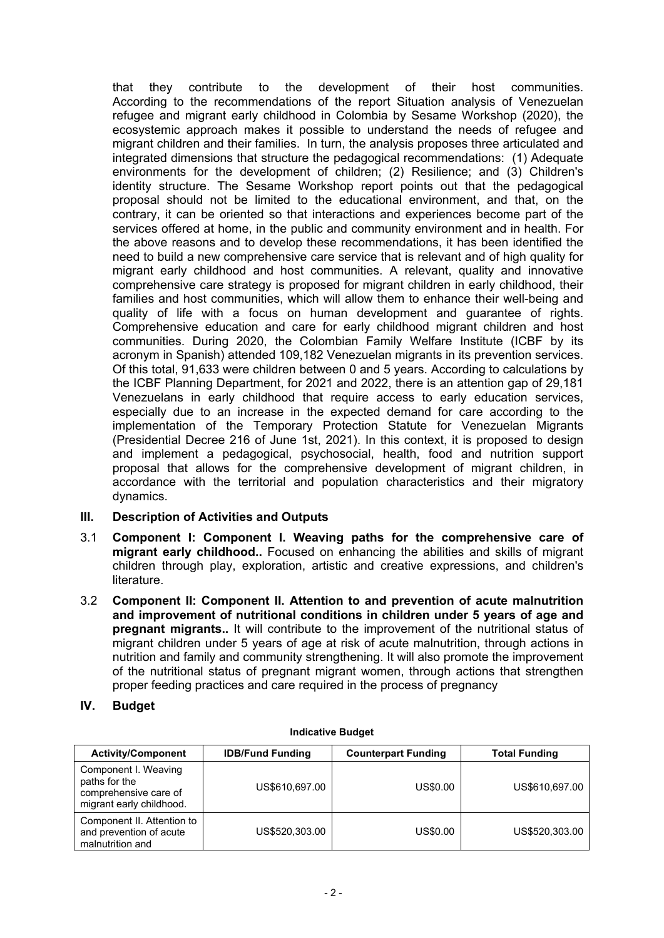that they contribute to the development of their host communities. According to the recommendations of the report Situation analysis of Venezuelan refugee and migrant early childhood in Colombia by Sesame Workshop (2020), the ecosystemic approach makes it possible to understand the needs of refugee and migrant children and their families. In turn, the analysis proposes three articulated and integrated dimensions that structure the pedagogical recommendations: (1) Adequate environments for the development of children; (2) Resilience; and (3) Children's identity structure. The Sesame Workshop report points out that the pedagogical proposal should not be limited to the educational environment, and that, on the contrary, it can be oriented so that interactions and experiences become part of the services offered at home, in the public and community environment and in health. For the above reasons and to develop these recommendations, it has been identified the need to build a new comprehensive care service that is relevant and of high quality for migrant early childhood and host communities. A relevant, quality and innovative comprehensive care strategy is proposed for migrant children in early childhood, their families and host communities, which will allow them to enhance their well-being and quality of life with a focus on human development and guarantee of rights. Comprehensive education and care for early childhood migrant children and host communities. During 2020, the Colombian Family Welfare Institute (ICBF by its acronym in Spanish) attended 109,182 Venezuelan migrants in its prevention services. Of this total, 91,633 were children between 0 and 5 years. According to calculations by the ICBF Planning Department, for 2021 and 2022, there is an attention gap of 29,181 Venezuelans in early childhood that require access to early education services, especially due to an increase in the expected demand for care according to the implementation of the Temporary Protection Statute for Venezuelan Migrants (Presidential Decree 216 of June 1st, 2021). In this context, it is proposed to design and implement a pedagogical, psychosocial, health, food and nutrition support proposal that allows for the comprehensive development of migrant children, in accordance with the territorial and population characteristics and their migratory dynamics.

## **III. Description of Activities and Outputs**

- 3.1 **Component I: Component I. Weaving paths for the comprehensive care of migrant early childhood..** Focused on enhancing the abilities and skills of migrant children through play, exploration, artistic and creative expressions, and children's literature.
- 3.2 **Component II: Component II. Attention to and prevention of acute malnutrition and improvement of nutritional conditions in children under 5 years of age and pregnant migrants..** It will contribute to the improvement of the nutritional status of migrant children under 5 years of age at risk of acute malnutrition, through actions in nutrition and family and community strengthening. It will also promote the improvement of the nutritional status of pregnant migrant women, through actions that strengthen proper feeding practices and care required in the process of pregnancy

## **IV. Budget**

| <b>Activity/Component</b>                                                                  | <b>IDB/Fund Funding</b> | <b>Counterpart Funding</b> | <b>Total Funding</b> |
|--------------------------------------------------------------------------------------------|-------------------------|----------------------------|----------------------|
| Component I. Weaving<br>paths for the<br>comprehensive care of<br>migrant early childhood. | US\$610,697.00          | US\$0.00                   | US\$610,697.00       |
| Component II. Attention to<br>and prevention of acute<br>malnutrition and                  | US\$520,303.00          | US\$0.00                   | US\$520,303.00       |

#### **Indicative Budget**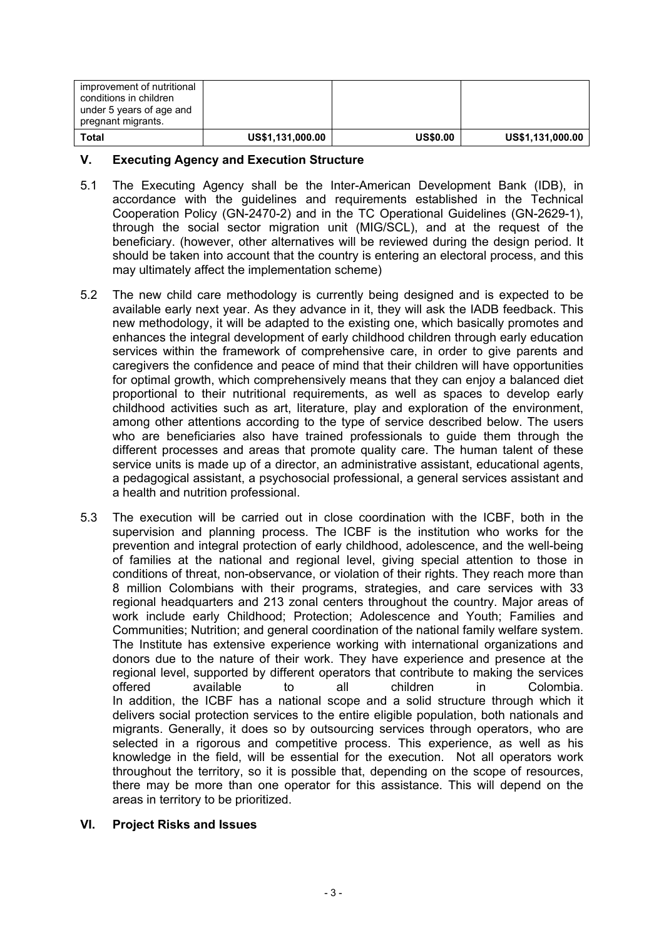| improvement of nutritional<br>conditions in children<br>under 5 years of age and<br>pregnant migrants. |                  |                 |                  |
|--------------------------------------------------------------------------------------------------------|------------------|-----------------|------------------|
| Total                                                                                                  | US\$1,131,000.00 | <b>US\$0.00</b> | US\$1,131,000.00 |

## **V. Executing Agency and Execution Structure**

- 5.1 The Executing Agency shall be the Inter-American Development Bank (IDB), in accordance with the guidelines and requirements established in the Technical Cooperation Policy (GN-2470-2) and in the TC Operational Guidelines (GN-2629-1), through the social sector migration unit (MIG/SCL), and at the request of the beneficiary. (however, other alternatives will be reviewed during the design period. It should be taken into account that the country is entering an electoral process, and this may ultimately affect the implementation scheme)
- 5.2 The new child care methodology is currently being designed and is expected to be available early next year. As they advance in it, they will ask the IADB feedback. This new methodology, it will be adapted to the existing one, which basically promotes and enhances the integral development of early childhood children through early education services within the framework of comprehensive care, in order to give parents and caregivers the confidence and peace of mind that their children will have opportunities for optimal growth, which comprehensively means that they can enjoy a balanced diet proportional to their nutritional requirements, as well as spaces to develop early childhood activities such as art, literature, play and exploration of the environment, among other attentions according to the type of service described below. The users who are beneficiaries also have trained professionals to guide them through the different processes and areas that promote quality care. The human talent of these service units is made up of a director, an administrative assistant, educational agents, a pedagogical assistant, a psychosocial professional, a general services assistant and a health and nutrition professional.
- 5.3 The execution will be carried out in close coordination with the ICBF, both in the supervision and planning process. The ICBF is the institution who works for the prevention and integral protection of early childhood, adolescence, and the well-being of families at the national and regional level, giving special attention to those in conditions of threat, non-observance, or violation of their rights. They reach more than 8 million Colombians with their programs, strategies, and care services with 33 regional headquarters and 213 zonal centers throughout the country. Major areas of work include early Childhood; Protection; Adolescence and Youth; Families and Communities; Nutrition; and general coordination of the national family welfare system. The Institute has extensive experience working with international organizations and donors due to the nature of their work. They have experience and presence at the regional level, supported by different operators that contribute to making the services offered available to all children in Colombia. In addition, the ICBF has a national scope and a solid structure through which it delivers social protection services to the entire eligible population, both nationals and migrants. Generally, it does so by outsourcing services through operators, who are selected in a rigorous and competitive process. This experience, as well as his knowledge in the field, will be essential for the execution. Not all operators work throughout the territory, so it is possible that, depending on the scope of resources, there may be more than one operator for this assistance. This will depend on the areas in territory to be prioritized.

## **VI. Project Risks and Issues**